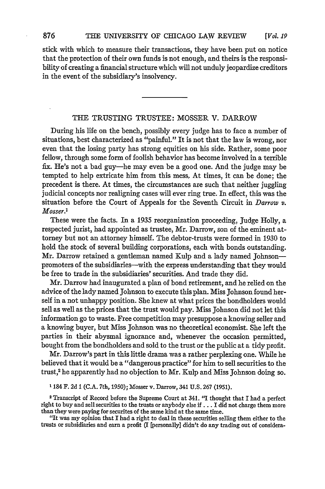stick with which to measure their transactions, they have been put on notice that the protection of their own funds is not enough, and theirs is the responsibility of creating a financial structure which will not unduly jeopardize creditors in the event of the subsidiary's insolvency.

## THE TRUSTING TRUSTEE: MOSSER V. DARROW

During his life on the bench, possibly every judge has to face a number of situations, best characterized as "painful." It is not that the law is wrong, nor even that the losing party has strong equities on his side. Rather, some poor fellow, through some form of foolish behavior has become involved in a terrible fix. He's not a bad guy-he may even be a good one. And the judge may be tempted to help extricate him from this mess, At times, it can be done; the precedent is there. At times, the circumstances are such that neither juggling judicial concepts nor realigning cases will ever ring true. In effect, this was the situation before the Court of Appeals for the Seventh Circuit in *Darrow v. Mosser.1*

These were the facts. In a 1935 reorganization proceeding, Judge Holly, a respected jurist, had appointed as trustee, Mr. Darrow, son of the eminent attorney but not an attorney himself. The debtor-trusts were formed in 1930 to hold the stock of several building corporations, each with bonds outstanding. Mr. Darrow retained a gentleman named Kulp and a lady named Johnsonpromoters of the subsidiaries--with the express understanding that they would be free to trade in the subsidiaries' securities. And trade they did.

Mr. Darrow had inaugurated a plan of bond retirement, and he relied on the advice of the lady named Johnson to execute this plan. Miss Johnson found herself in a not unhappy position. She knew at what prices the bondholders would sell as well as the prices that the trust would pay. Miss Johnson did not let this information go to waste. Free competition may presuppose a knowing seller and a knowing buyer, but Miss Johnson was no theoretical economist. She left the parties in their abysmal ignorance and, whenever the occasion permitted, bought from the bondholders and sold to the trust or the public at a tidy profit.

Mr. Darrow's part in this little drama was a rather perplexing one. While he believed that it would be a "dangerous practice" for him to sell securities to the trust,2 he apparently had no objection to Mr. Kulp and Miss Johnson doing so.

**1** 184 F. 2d **1 (C.A.** 7th, **1950);** Mosser v. Darrow, 341 **U.S. 267 (1951).**

2 Transcript of Record before the Supreme Court at 341. "I thought that I had a perfect right to buy and sell securities to the trusts or anybody else if... **I** did not charge them more than they were paying for securites of the same kind at the same time.

"It was my opinion that I had a right to deal in these securities selling them either to the trusts or subsidiaries and earn a profit **(I** [personally] didn't do any trading out of considera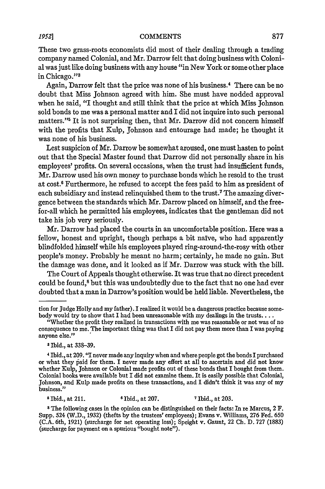These two grass-roots economists did most of their dealing through a trading company named Colonial, and Mr. Darrow felt that doing business with Colonial was just like doing business with any house "in New York or some other place in Chicago."<sup>3</sup>

Again, Darrow felt that the price was none of his business. 4 There can be no doubt that Miss Johnson agreed with him. She must have nodded approval when he said, "I thought and still think that the price at which Miss Johnson sold bonds to me was a personal matter and I did not inquire into such personal matters."5 It is not surprising then, that Mr. Darrow did not concern himself with the profits that Kulp, Johnson and entourage had made; he thought it was none of his business.

Lest suspicion of Mr. Darrow be somewhat aroused, one must hasten to point out that the Special Master found that Darrow did not personally share in his employees' profits. On several occasions, when the trust had insufficient funds, Mr. Darrow used his own money to purchase bonds which he resold to the trust at cost.' Furthermore, he refused to accept the fees paid to him as president of each subsidiary and instead relinquished them to the trust.7 The amazing divergence between the standards which Mr. Darrow placed on himself, and the freefor-all which he permitted his employees, indicates that the gentleman did not take his job very seriously.

Mr. Darrow had placed the courts in an uncomfortable position. Here was a fellow, honest and upright, though perhaps a bit naive, who had apparently blindfolded himself while his employees played ring-around-the-rosy with other people's money. Probably he meant no harm; certainly, he made no gain. But the damage was done, and it looked as if Mr. Darrow was stuck with the bill.

The Court of Appeals thought otherwise. It was true that no direct precedent could be found,8 but this was undoubtedly due to the fact that no one had ever doubted that a man in Darrow's position would be held liable. Nevertheless, the

**<sup>3</sup>**Ibid., at 338-39.

Ibid., at 211. **6** Ibid., at 207. **7** Ibid., at 203.

**8** The following cases in the opinion can be distinguished on their facts: In re Marcus, 2 F. Supp. 524 (W.D., 1932) (thefts by the trustees' employees); Evans v. Williams, **276** Fed. 650 (C.A. 6th, 1921) (surcharge for net operating loss); Speight v. Gaunt, 22 Ch. D. 727 (1883) (surcharge for payment on a spurious "bought note").

tion for Judge Holly and my father). **I** realized it would be a dangerous practice because somebody would try to show that I had been unreasonable with my dealings in the trusts....

<sup>&</sup>quot;Whether the profit they realized in transactions with me was reasonable or not was of no consequence to me. The important thing was that I did not pay them more than I was paying anyone else."

<sup>4</sup>Ibid., at 209. "I never made any inquiry when and where people got the bonds I purchased or what they paid for them. I never made any effort at all to ascertain and did not know whether Kulp, Johnson or Colonial made profits out of these bonds that I bought from them. Colonial books were available but I did not examine them. It is easily possible that Colonial, Johnson, and KuIp made profits on these transactions, and I didn't think it was any of my business."